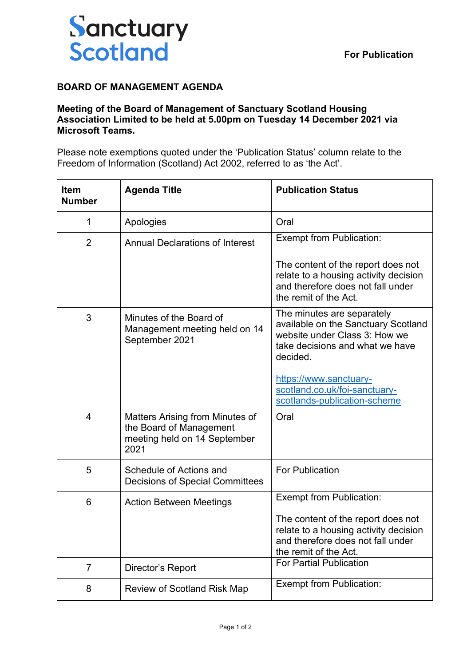

## **BOARD OF MANAGEMENT AGENDA**

## **Meeting of the Board of Management of Sanctuary Scotland Housing Association Limited to be held at 5.00pm on Tuesday 14 December 2021 via Microsoft Teams.**

Please note exemptions quoted under the 'Publication Status' column relate to the Freedom of Information (Scotland) Act 2002, referred to as 'the Act'.

| <b>Item</b><br><b>Number</b> | <b>Agenda Title</b>                                                                                | <b>Publication Status</b>                                                                                                                         |
|------------------------------|----------------------------------------------------------------------------------------------------|---------------------------------------------------------------------------------------------------------------------------------------------------|
| 1                            | Apologies                                                                                          | Oral                                                                                                                                              |
| $\overline{2}$               | <b>Annual Declarations of Interest</b>                                                             | <b>Exempt from Publication:</b>                                                                                                                   |
|                              |                                                                                                    | The content of the report does not<br>relate to a housing activity decision<br>and therefore does not fall under<br>the remit of the Act.         |
| 3                            | Minutes of the Board of<br>Management meeting held on 14<br>September 2021                         | The minutes are separately<br>available on the Sanctuary Scotland<br>website under Class 3: How we<br>take decisions and what we have<br>decided. |
|                              |                                                                                                    | https://www.sanctuary-<br>scotland.co.uk/foi-sanctuary-<br>scotlands-publication-scheme                                                           |
| 4                            | Matters Arising from Minutes of<br>the Board of Management<br>meeting held on 14 September<br>2021 | Oral                                                                                                                                              |
| 5                            | Schedule of Actions and<br><b>Decisions of Special Committees</b>                                  | <b>For Publication</b>                                                                                                                            |
| 6                            | <b>Action Between Meetings</b>                                                                     | <b>Exempt from Publication:</b>                                                                                                                   |
|                              |                                                                                                    | The content of the report does not<br>relate to a housing activity decision<br>and therefore does not fall under<br>the remit of the Act.         |
| 7                            | Director's Report                                                                                  | <b>For Partial Publication</b>                                                                                                                    |
| 8                            | <b>Review of Scotland Risk Map</b>                                                                 | <b>Exempt from Publication:</b>                                                                                                                   |